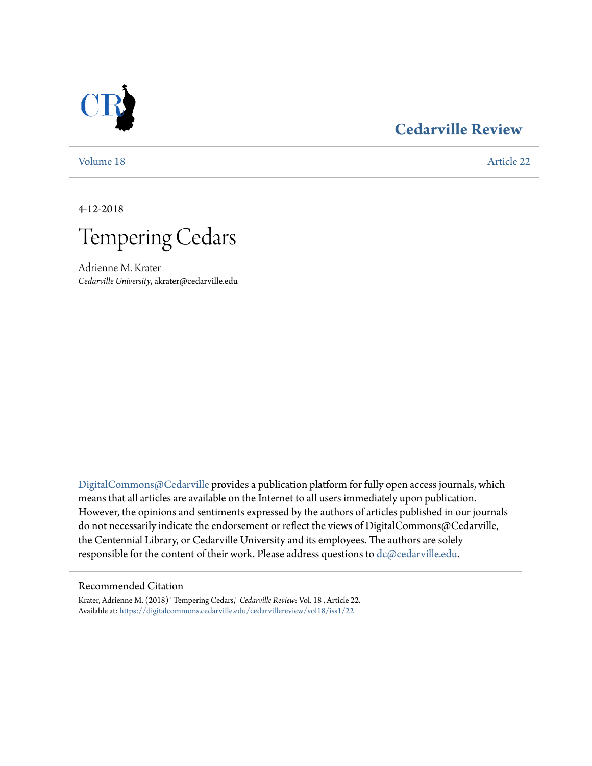

## **[Cedarville Review](https://digitalcommons.cedarville.edu/cedarvillereview?utm_source=digitalcommons.cedarville.edu%2Fcedarvillereview%2Fvol18%2Fiss1%2F22&utm_medium=PDF&utm_campaign=PDFCoverPages)**

[Volume 18](https://digitalcommons.cedarville.edu/cedarvillereview/vol18?utm_source=digitalcommons.cedarville.edu%2Fcedarvillereview%2Fvol18%2Fiss1%2F22&utm_medium=PDF&utm_campaign=PDFCoverPages) [Article 22](https://digitalcommons.cedarville.edu/cedarvillereview/vol18/iss1/22?utm_source=digitalcommons.cedarville.edu%2Fcedarvillereview%2Fvol18%2Fiss1%2F22&utm_medium=PDF&utm_campaign=PDFCoverPages)

4-12-2018



Adrienne M. Krater *Cedarville University*, akrater@cedarville.edu

[DigitalCommons@Cedarville](http://digitalcommons.cedarville.edu/) provides a publication platform for fully open access journals, which means that all articles are available on the Internet to all users immediately upon publication. However, the opinions and sentiments expressed by the authors of articles published in our journals do not necessarily indicate the endorsement or reflect the views of DigitalCommons@Cedarville, the Centennial Library, or Cedarville University and its employees. The authors are solely responsible for the content of their work. Please address questions to [dc@cedarville.edu](mailto:dc@cedarville.edu).

## Recommended Citation

Krater, Adrienne M. (2018) "Tempering Cedars," *Cedarville Review*: Vol. 18 , Article 22. Available at: [https://digitalcommons.cedarville.edu/cedarvillereview/vol18/iss1/22](https://digitalcommons.cedarville.edu/cedarvillereview/vol18/iss1/22?utm_source=digitalcommons.cedarville.edu%2Fcedarvillereview%2Fvol18%2Fiss1%2F22&utm_medium=PDF&utm_campaign=PDFCoverPages)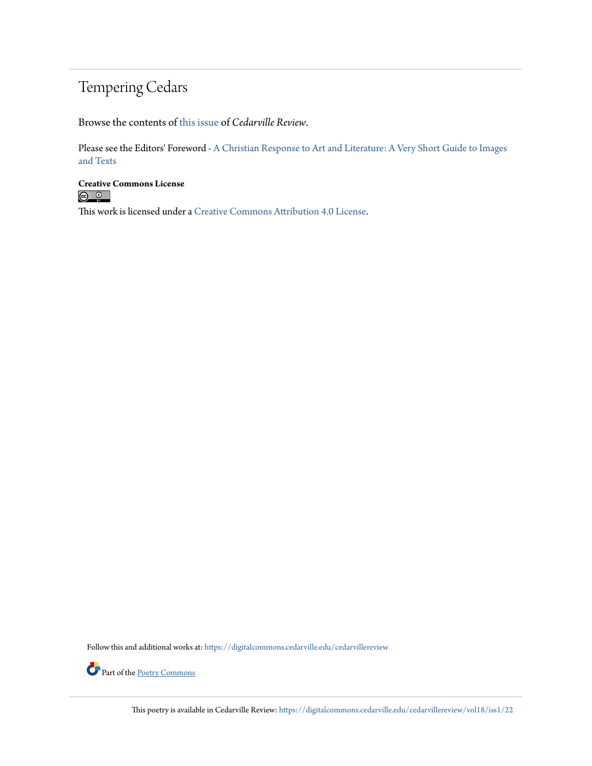## Tempering Cedars

Browse the contents of [this issue](https://digitalcommons.cedarville.edu/cedarvillereview/vol18/iss1) of *Cedarville Review*.

Please see the Editors' Foreword - [A Christian Response to Art and Literature: A Very Short Guide to Images](http://digitalcommons.cedarville.edu/cedarvillereview/vol18/iss1/1/) [and Texts](http://digitalcommons.cedarville.edu/cedarvillereview/vol18/iss1/1/)

**Creative Commons License**<br> **C 0** 

This work is licensed under a [Creative Commons Attribution 4.0 License.](http://creativecommons.org/licenses/by/4.0/)

Follow this and additional works at: [https://digitalcommons.cedarville.edu/cedarvillereview](https://digitalcommons.cedarville.edu/cedarvillereview?utm_source=digitalcommons.cedarville.edu%2Fcedarvillereview%2Fvol18%2Fiss1%2F22&utm_medium=PDF&utm_campaign=PDFCoverPages)



This poetry is available in Cedarville Review: [https://digitalcommons.cedarville.edu/cedarvillereview/vol18/iss1/22](https://digitalcommons.cedarville.edu/cedarvillereview/vol18/iss1/22?utm_source=digitalcommons.cedarville.edu%2Fcedarvillereview%2Fvol18%2Fiss1%2F22&utm_medium=PDF&utm_campaign=PDFCoverPages)